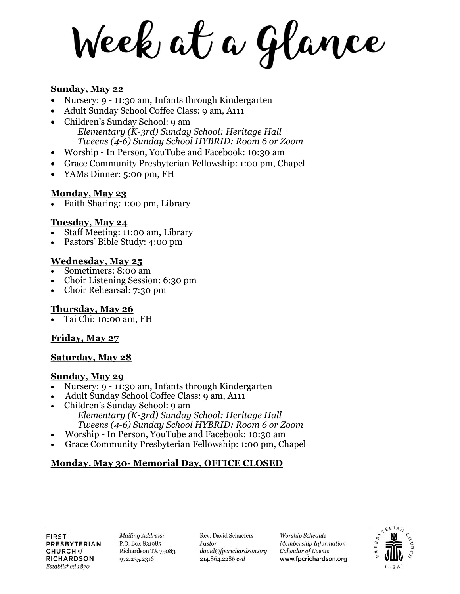Week at a Glance

## **Sunday, May 22**

- Nursery: 9 11:30 am, Infants through Kindergarten
- Adult Sunday School Coffee Class: 9 am, A111
- Children's Sunday School: 9 am *Elementary (K-3rd) Sunday School: Heritage Hall Tweens (4-6) Sunday School HYBRID: Room 6 or Zoom*
- Worship In Person, YouTube and Facebook: 10:30 am
- Grace Community Presbyterian Fellowship: 1:00 pm, Chapel
- YAMs Dinner: 5:00 pm, FH

## **Monday, May 23**

Faith Sharing: 1:00 pm, Library

#### **Tuesday, May 24**

- Staff Meeting: 11:00 am, Library
- Pastors' Bible Study: 4:00 pm

## **Wednesday, May 25**

- Sometimers: 8:00 am
- Choir Listening Session: 6:30 pm
- Choir Rehearsal: 7:30 pm

## **Thursday, May 26**

Tai Chi: 10:00 am, FH

# **Friday, May 27**

## **Saturday, May 28**

## **Sunday, May 29**

- Nursery: 9 11:30 am, Infants through Kindergarten
- Adult Sunday School Coffee Class: 9 am, A111
- Children's Sunday School: 9 am *Elementary (K-3rd) Sunday School: Heritage Hall Tweens (4-6) Sunday School HYBRID: Room 6 or Zoom*
- Worship In Person, YouTube and Facebook: 10:30 am
- Grace Community Presbyterian Fellowship: 1:00 pm, Chapel

# **Monday, May 30- Memorial Day, OFFICE CLOSED**

**Mailing Address:** P.O. Box 831985 Richardson TX 75083 972.235.2316

Rev. David Schaefers Pastor david@fpcrichardson.org 214.864.2286 cell

Worship Schedule Membership Information Calendar of Events www.fpcrichardson.org